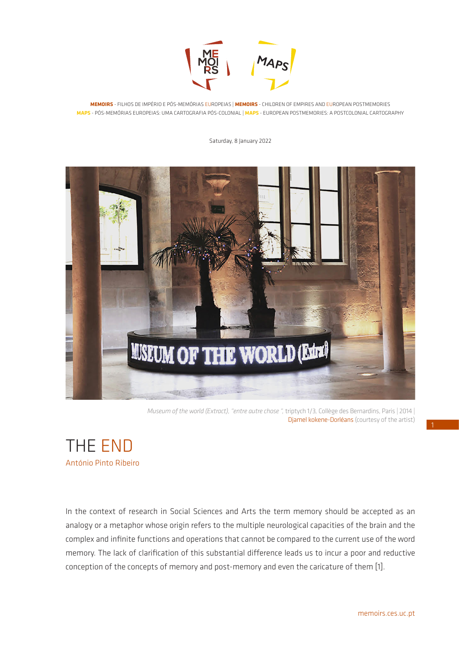

**MEMOIRS** - FILHOS DE IMPÉRIO E PÓS-MEMÓRIAS EUROPEIAS | **MEMOIRS** - CHILDREN OF EMPIRES AND EUROPEAN POSTMEMORIES **MAPS** - PÓS-MEMÓRIAS EUROPEIAS: UMA CARTOGRAFIA PÓS-COLONIAL | **MAPS** - EUROPEAN POSTMEMORIES: A POSTCOLONIAL CARTOGRAPHY

Saturday, 8 January 2022



*Museum of the world (Extract), "entre autre chose ",* triptych 1/3*,* Collège des Bernardins, Paris | 2014 | Djamel kokene-Dorléans (courtesy of the artist)

THE END António Pinto Ribeiro

In the context of research in Social Sciences and Arts the term memory should be accepted as an analogy or a metaphor whose origin refers to the multiple neurological capacities of the brain and the complex and infinite functions and operations that cannot be compared to the current use of the word memory. The lack of clarification of this substantial difference leads us to incur a poor and reductive conception of the concepts of memory and post-memory and even the caricature of them [1].

1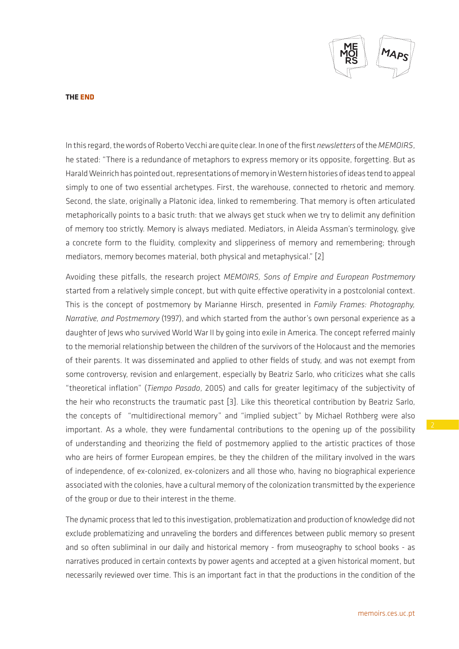

**THE END**

In this regard, the words of Roberto Vecchi are quite clear. In one of the first *newsletters* of the *MEMOIRS*, he stated: "There is a redundance of metaphors to express memory or its opposite, forgetting. But as Harald Weinrich has pointed out, representations of memory in Western histories of ideas tend to appeal simply to one of two essential archetypes. First, the warehouse, connected to rhetoric and memory. Second, the slate, originally a Platonic idea, linked to remembering. That memory is often articulated metaphorically points to a basic truth: that we always get stuck when we try to delimit any definition of memory too strictly. Memory is always mediated. Mediators, in Aleida Assman's terminology, give a concrete form to the fluidity, complexity and slipperiness of memory and remembering; through mediators, memory becomes material, both physical and metaphysical." [2]

Avoiding these pitfalls, the research project *MEMOIRS, Sons of Empire and European Postmemory* started from a relatively simple concept, but with quite effective operativity in a postcolonial context. This is the concept of postmemory by Marianne Hirsch, presented in *Family Frames: Photography, Narrative, and Postmemory* (1997), and which started from the author's own personal experience as a daughter of Jews who survived World War II by going into exile in America. The concept referred mainly to the memorial relationship between the children of the survivors of the Holocaust and the memories of their parents. It was disseminated and applied to other fields of study, and was not exempt from some controversy, revision and enlargement, especially by Beatriz Sarlo, who criticizes what she calls "theoretical inflation" (*Tiempo Pasado*, 2005) and calls for greater legitimacy of the subjectivity of the heir who reconstructs the traumatic past [3]. Like this theoretical contribution by Beatriz Sarlo, the concepts of "multidirectional memory" and "implied subject" by Michael Rothberg were also important. As a whole, they were fundamental contributions to the opening up of the possibility of understanding and theorizing the field of postmemory applied to the artistic practices of those who are heirs of former European empires, be they the children of the military involved in the wars of independence, of ex-colonized, ex-colonizers and all those who, having no biographical experience associated with the colonies, have a cultural memory of the colonization transmitted by the experience of the group or due to their interest in the theme.

The dynamic process that led to this investigation, problematization and production of knowledge did not exclude problematizing and unraveling the borders and differences between public memory so present and so often subliminal in our daily and historical memory - from museography to school books - as narratives produced in certain contexts by power agents and accepted at a given historical moment, but necessarily reviewed over time. This is an important fact in that the productions in the condition of the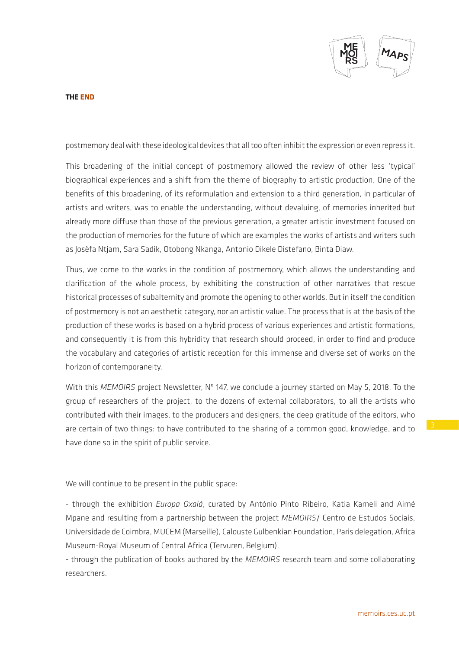

**THE END**

postmemory deal with these ideological devices that all too often inhibit the expression or even repress it.

This broadening of the initial concept of postmemory allowed the review of other less 'typical' biographical experiences and a shift from the theme of biography to artistic production. One of the benefits of this broadening, of its reformulation and extension to a third generation, in particular of artists and writers, was to enable the understanding, without devaluing, of memories inherited but already more diffuse than those of the previous generation, a greater artistic investment focused on the production of memories for the future of which are examples the works of artists and writers such as Josèfa Ntjam, Sara Sadik, Otobong Nkanga, Antonio Dikele Distefano, Binta Diaw.

Thus, we come to the works in the condition of postmemory, which allows the understanding and clarification of the whole process, by exhibiting the construction of other narratives that rescue historical processes of subalternity and promote the opening to other worlds. But in itself the condition of postmemory is not an aesthetic category, nor an artistic value. The process that is at the basis of the production of these works is based on a hybrid process of various experiences and artistic formations, and consequently it is from this hybridity that research should proceed, in order to find and produce the vocabulary and categories of artistic reception for this immense and diverse set of works on the horizon of contemporaneity.

With this *MEMOIRS* project Newsletter, Nº 147, we conclude a journey started on May 5, 2018. To the group of researchers of the project, to the dozens of external collaborators, to all the artists who contributed with their images, to the producers and designers, the deep gratitude of the editors, who are certain of two things: to have contributed to the sharing of a common good, knowledge, and to have done so in the spirit of public service.

We will continue to be present in the public space:

- through the exhibition *Europa Oxalá*, curated by António Pinto Ribeiro, Katia Kameli and Aimé Mpane and resulting from a partnership between the project *MEMOIRS*/ Centro de Estudos Sociais, Universidade de Coimbra, MUCEM (Marseille), Calouste Gulbenkian Foundation, Paris delegation, Africa Museum-Royal Museum of Central Africa (Tervuren, Belgium).

- through the publication of books authored by the *MEMOIRS* research team and some collaborating researchers.